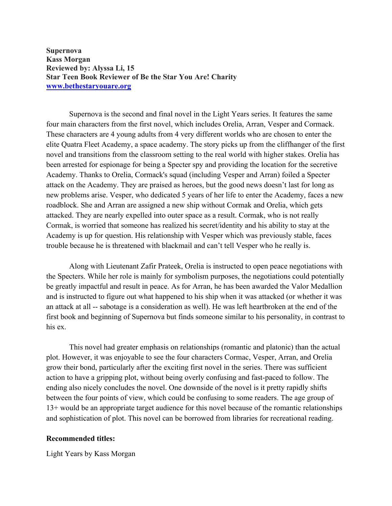**Supernova Kass Morgan Reviewed by: Alyssa Li, 15 Star Teen Book Reviewer of Be the Star You Are! Charity www.bethestaryouare.org**

Supernova is the second and final novel in the Light Years series. It features the same four main characters from the first novel, which includes Orelia, Arran, Vesper and Cormack. These characters are 4 young adults from 4 very different worlds who are chosen to enter the elite Quatra Fleet Academy, a space academy. The story picks up from the cliffhanger of the first novel and transitions from the classroom setting to the real world with higher stakes. Orelia has been arrested for espionage for being a Specter spy and providing the location for the secretive Academy. Thanks to Orelia, Cormack's squad (including Vesper and Arran) foiled a Specter attack on the Academy. They are praised as heroes, but the good news doesn't last for long as new problems arise. Vesper, who dedicated 5 years of her life to enter the Academy, faces a new roadblock. She and Arran are assigned a new ship without Cormak and Orelia, which gets attacked. They are nearly expelled into outer space as a result. Cormak, who is not really Cormak, is worried that someone has realized his secret/identity and his ability to stay at the Academy is up for question. His relationship with Vesper which was previously stable, faces trouble because he is threatened with blackmail and can't tell Vesper who he really is.

Along with Lieutenant Zafir Prateek, Orelia is instructed to open peace negotiations with the Specters. While her role is mainly for symbolism purposes, the negotiations could potentially be greatly impactful and result in peace. As for Arran, he has been awarded the Valor Medallion and is instructed to figure out what happened to his ship when it was attacked (or whether it was an attack at all -- sabotage is a consideration as well). He was left heartbroken at the end of the first book and beginning of Supernova but finds someone similar to his personality, in contrast to his ex.

This novel had greater emphasis on relationships (romantic and platonic) than the actual plot. However, it was enjoyable to see the four characters Cormac, Vesper, Arran, and Orelia grow their bond, particularly after the exciting first novel in the series. There was sufficient action to have a gripping plot, without being overly confusing and fast-paced to follow. The ending also nicely concludes the novel. One downside of the novel is it pretty rapidly shifts between the four points of view, which could be confusing to some readers. The age group of 13+ would be an appropriate target audience for this novel because of the romantic relationships and sophistication of plot. This novel can be borrowed from libraries for recreational reading.

## **Recommended titles:**

Light Years by Kass Morgan